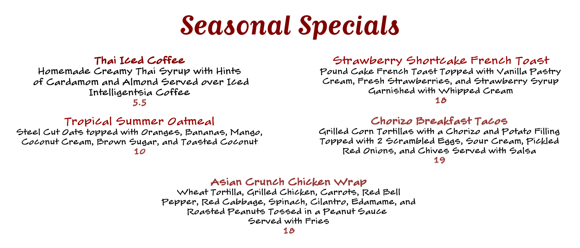# *Seasonal Specials*

## Thai Iced Coffee

Homemade Creamy Thai Syrup with Hints of Cardamom and Almond Served over Iced Intelligentsia Coffee

5.5

# Tropical Summer Oatmeal

Steel Cut Oats topped with Oranges, Bananas, Mango, Coconut Cream, Brown Sugar, and Toasted Coconut 10

#### Strawberry Shortcake French Toast

Pound Cake French Toast Topped with Vanilla Pastry Cream, Fresh Strawberries, and Strawberry Syrup Garnished with Whipped Cream

#### 18

#### Chorizo Breakfast Tacos

Grilled Corn Tortillas with a Chorizo and Potato Filling Topped with 2 Scrambled Eggs, Sour Cream, Pickled Red Onions, and Chives Served with Salsa

19

#### Asian Crunch Chicken Wrap

Wheat Tortilla, Grilled Chicken, Carrots, Red Bell Pepper, Red Cabbage, Spinach, Cilantro, Edamame, and Roasted Peanuts Tossed in a Peanut Sauce Served with Fries

18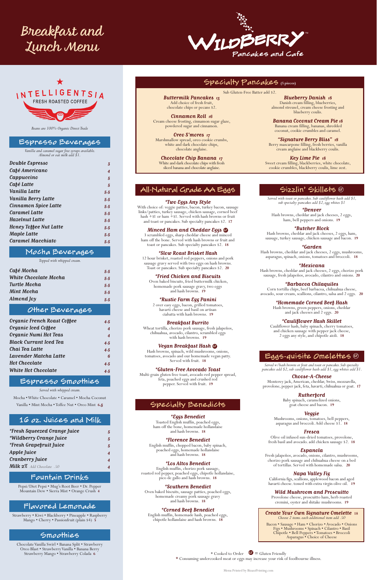*Beans are 100% Organic Direct Trade*

#### Espresso Beverages

*Vanilla and caramel sugar free syrups available. Almond or oat milk add \$1.*

| 3   |
|-----|
| 4   |
| 5   |
| 5   |
| 5.5 |
| 5.5 |
| 5.5 |
| 5.5 |
| 5.5 |
| 5.5 |
| 5.5 |
| 5.5 |
|     |

# Mocha Beverages

*Topped with whipped cream.* 

| Café Mocha                   | 5.5 |
|------------------------------|-----|
| <b>White Chocolate Mocha</b> | 5.5 |
| Turtle Mocha                 | 5.5 |
| Mint Mocha                   | 5.5 |
| Almond Joy                   | 5.5 |

### Other Beverages

| Organic French Roast Coffee   | 4.5 |
|-------------------------------|-----|
| Organic Iced Coffee           | 4   |
| Organic Numi Hot Teas         | 4   |
| <b>Black Currant Iced Tea</b> | 4.5 |
| Chai Tea Latte                | 4.5 |
| Lavender Matcha Latte         | 6   |
| <b>Hot Chocolate</b>          | 4.5 |
| <b>White Hot Chocolate</b>    | 4.5 |

# Espresso Smoothies

*Served with whipped cream.*

Mocha • White Chocolate • Caramel • Mocha Coconut Vanilla • Mint Mocha • Toffee Nut • Oreo Mint**6***.5*

# 16 oz. Juices and Milk

| <i>*Fresh Squeezed Orange Juice</i> | 5 |
|-------------------------------------|---|
| <i>*Wildberry Orange Juice</i>      | 5 |
| <i>*Fresh Grapefruit Juice</i>      | 5 |
| Apple Juice                         | 4 |
| Cranberry Juice                     | 4 |
| Milk 2% Add Chocolate .50           |   |

# Fountain Drinks

Pepsi/Diet Pepsi • Mug's Root Beer • Dr. Pepper Mountain Dew • Sierra Mist • Orange Crush **4**

# Flavored Lemonade

Strawberry • Kiwi • Blackberry • Pineapple • Raspberry Mango • Cherry • Passionfruit (plain \$4) **5**

# Smoothies

Chocolate Vanilla Swirl • Banana Split • Strawberry Oreo Blast • Strawberry Vanilla • Banana Berry Strawberry Mango • Strawberry Colada **6**

# All-Natural Grade AA Eggs

#### *\*Two Eggs Any Style*

With choice of: veggie patties, bacon, turkey bacon, sausage links/patties, turkey sausage, chicken sausage, corned beef hash  $+$  \$1 or ham  $+$  \$1. Served with hash browns or fruit and toast or pancakes. Sub specialty pancakes \$2. **17**

*Minced Ham and Cheddar Eggs* **G** 

3 scrambled eggs, sharp cheddar cheese and minced ham off the bone. Served with hash browns or fruit and toast or pancakes. Sub specialty pancakes \$2. **18**

#### *\*Slow Roast Brisket Hash*

12 hour brisket, roasted red peppers, onions and pork sausage gravy served with two eggs on hash browns. Toast or pancakes. Sub specialty pancakes \$2. **20**

*\*Fried Chicken and Biscuits*

 Oven baked biscuits, fried buttermilk chicken, homemade pork sausage gravy, two eggs and hash browns. **19**

*\*Rustic Farm Egg Panini*  2 over easy eggs, bacon, grilled tomatoes, havarti cheese and basil on artisan

ciabatta with hash browns. **19** *Breakfast Burrito*

Wheat tortilla, chorizo pork sausage, fresh jalapeños, chihuahua, avocado, cilantro, scrambled eggs with hash browns. **19**

#### *Vegan Breakfast Hash GF*

Hash browns, spinach, wild mushrooms, onions, tomatoes, avocado and our homemade vegan patty. Served with fruit. **18**

#### *\*Gluten-Free Avocado Toast*

Multi-grain gluten free toast, avocado red pepper spread, feta, poached eggs and crushed red pepper. Served with fruit. **19**

# Specialty Benedicts

*\*Eggs Benedict*  Toasted English muffin, poached eggs, ham off the bone, homemade hollandaise and hash browns. **18**

#### *\*Florence Benedict*

English muffin, chopped bacon, baby spinach, poached eggs, homemade hollandaise and hash browns. **18**

#### *\*Los Altos Benedict*

English muffin, chorizo pork sausage, roasted red pepper, poached eggs, chipotle hollandaise, pico de gallo and hash browns. **18**

#### *\*Southern Benedict*

Oven baked biscuits, sausage patties, poached eggs, homemade creamy pork sausage gravy and hash browns. **18**

#### *\*Corned Beef Benedict*

English muffin, homemade hash, poached eggs, chipotle hollandaise and hash browns. **18**

# Sizzlin' Skillets *GF*

*Served with toast or pancakes. Sub cauliflower hash add \$1, sub specialty pancakes add \$2, egg whites \$1*

*\*Denver* Hash browns, cheddar and jack cheeses, 2 eggs, ham, bell peppers and onions. **19**

#### *\*Butcher Block*

Hash browns, cheddar and jack cheeses, 2 eggs, ham, sausage, turkey sausage, chicken sausage and bacon. **19**

#### *\*Garden*

Hash browns, cheddar and jack cheeses, 2 eggs, mushrooms, asparagus, spinach, onions, tomatoes and broccoli. **18**

#### *\*Mexicana*

Hash browns, cheddar and jack cheeses, 2 eggs, chorizo pork sausage, fresh jalapeños, avocado, cilantro and onions. **20**

#### *\*Barbacoa Chilaquiles*

Corn tortilla chips, beef barbacoa, chihuahua cheese, avocado, sour cream, scallions, cilantro, salsa and 2 eggs. **20**

*\*Homemade Corned Beef Hash*

Hash browns, green peppers, onions, cheddar and jack cheeses and 2 eggs. **20** 

*\*Cauliflower Hash Skillet*

Cauliflower hash, baby spinach, cherry tomatoes, and chicken sausage with pepper jack cheese, 2 eggs any style, and chipotle aioli. **18**

# Eggs-quisite Omelettes *GF*

*Served w/hash browns or fruit and toast or pancakes. Sub specialty pancakes add \$2, sub cauliflower hash add \$1, egg whites add \$1.*

*Choose-A-Cheese* 

Monterey jack, American, cheddar, Swiss, mozzarella, provolone, pepper jack, feta, havarti, chihuahua or goat. **17**

*Rutherford* 

Baby spinach, caramelized onions, goat cheese and bacon. **19**

*Veggie* 

Mushrooms, onions, tomatoes, bell peppers,

asparagus and broccoli. Add cheese \$1. **18**

#### *Fresca*

Olive oil infused sun-dried tomatoes, provolone, fresh basil and avocado. add chicken sausage \$2. **18**

#### *Espanola*

Fresh jalapeños, avocado, onions, cilantro, mushrooms, chorizo pork sausage and chihuahua cheese on a bed of tortillas. Served with homemade salsa. **20**

#### *Napa Valley Fig*

California figs, scallions, applewood bacon and aged havarti cheese. tossed with extra virgin olive oil. **19**

#### *Wild Mushroom and Proscuitto*

Provolone cheese, proscuitto ham, herb roasted cremini, oyster and shitake mushrooms. **19**

#### *Create Your Own Signature Omelette* **18**

*Choose 2 items. each additional item add .50*

Bacon • Sausage • Ham • Chorizo • Avocado • Onions Figs • Mushrooms • Spinach • Cilantro • Basil Chipotle • Bell Peppers • Tomatoes • Broccoli Asparagus • Choice of Cheese

# Specialty Pancakes **(5 pieces)**

Sub Gluten-Free Batter add \$2.

*Buttermilk Pancakes 13* Add choice of fresh fruit, chocolate chips or pecans \$2.

*Cinnamon Roll 16* Cream cheese frosting, cinnamon sugar glaze, powdered sugar and cinnamon.

*Oreo S'mores 17* Marshmallow spread, oreo cookie crumbs, white and dark chocolate chips, chocolate anglaise.

*Chocolate Chip Banana 17* White and dark chocolate chips with fresh sliced banana and chocolate anglaise.

*Blueberry Danish 18* Danish cream filling, blueberries, almond streusel, cream cheese frosting and blueberry coulis.

*Banana Coconut Cream Pie 18* Banana cream filling, bananas, shredded coconut, cookie crumbles and caramel.

*"Signature Berry Bliss" 18* Berry mascarpone filling, fresh berries, vanilla cream anglaise and blackberry coulis.

*Key Lime Pie 18*  Sweet cream filling, blackberries, white chocolate, cookie crumbles, blackberry coulis, lime zest.

\* Cooked to Order*GF* **=** Gluten Friendly **\*** Consuming undercooked meat or eggs may increase your risk of foodbourne illness.





# *Lunch Menu*